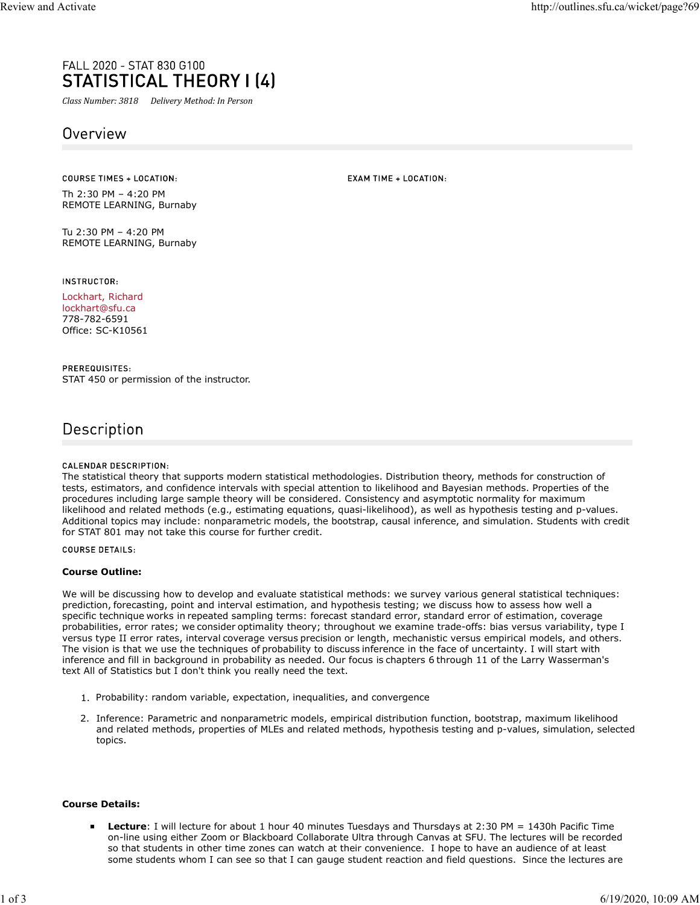# rall 2020 - STAT 830 G100<br>**STATISTICAL THEORY | (4)**<br>Class Number: 3818 Delivery Method: In Person<br>Overview

Th 2:30 PM – 4:20 PM REMOTE LEARNING, Burnaby

Tu 2:30 PM – 4:20 PM REMOTE LEARNING, Burnaby

INSTRUCTOR:

Lockhart, Richard lockhart@sfu.ca 778-782-6591 Office: SC-K10561

PREREQUISITES: STAT 450 or permission of the instructor.

# Description

CALENDAR DESCRIPTION:

The statistical theory that supports modern statistical methodologies. Distribution theory, methods for construction of tests, estimators, and confidence intervals with special attention to likelihood and Bayesian methods. Properties of the procedures including large sample theory will be considered. Consistency and asymptotic normality for maximum likelihood and related methods (e.g., estimating equations, quasi-likelihood), as well as hypothesis testing and p-values. Additional topics may include: nonparametric models, the bootstrap, causal inference, and simulation. Students with credit for STAT 801 may not take this course for further credit.

**COURSE DETAILS:** 

### Course Outline:

We will be discussing how to develop and evaluate statistical methods: we survey various general statistical techniques: prediction, forecasting, point and interval estimation, and hypothesis testing; we discuss how to assess how well a specific technique works in repeated sampling terms: forecast standard error, standard error of estimation, coverage probabilities, error rates; we consider optimality theory; throughout we examine trade-offs: bias versus variability, type I versus type II error rates, interval coverage versus precision or length, mechanistic versus empirical models, and others. The vision is that we use the techniques of probability to discuss inference in the face of uncertainty. I will start with inference and fill in background in probability as needed. Our focus is chapters 6 through 11 of the Larry Wasserman's text All of Statistics but I don't think you really need the text.

- 1. Probability: random variable, expectation, inequalities, and convergence
- 2. Inference: Parametric and nonparametric models, empirical distribution function, bootstrap, maximum likelihood and related methods, properties of MLEs and related methods, hypothesis testing and p-values, simulation, selected topics.

## Course Details:

Lecture: I will lecture for about 1 hour 40 minutes Tuesdays and Thursdays at 2:30 PM = 1430h Pacific Time on-line using either Zoom or Blackboard Collaborate Ultra through Canvas at SFU. The lectures will be recorded so that students in other time zones can watch at their convenience. I hope to have an audience of at least some students whom I can see so that I can gauge student reaction and field questions. Since the lectures are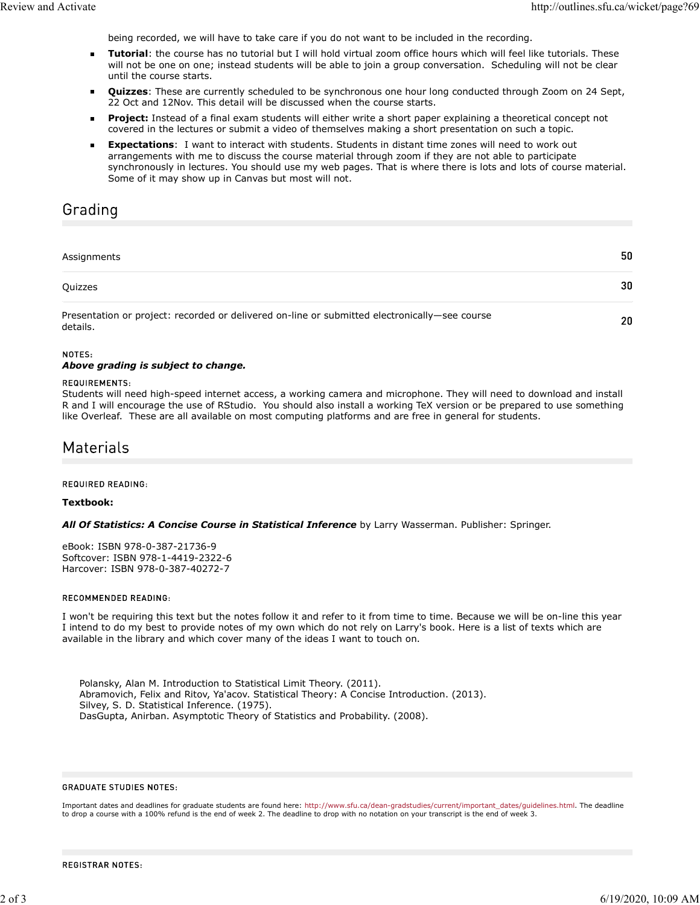being recorded, we will have to take care if you do not want to be included in the recording.

- Tutorial: the course has no tutorial but I will hold virtual zoom office hours which will feel like tutorials. These will not be one on one; instead students will be able to join a group conversation. Scheduling will not be clear until the course starts.
- $\blacksquare$ Quizzes: These are currently scheduled to be synchronous one hour long conducted through Zoom on 24 Sept, 22 Oct and 12Nov. This detail will be discussed when the course starts.
- Project: Instead of a final exam students will either write a short paper explaining a theoretical concept not  $\blacksquare$ covered in the lectures or submit a video of themselves making a short presentation on such a topic.
- Expectations: I want to interact with students. Students in distant time zones will need to work out arrangements with me to discuss the course material through zoom if they are not able to participate synchronously in lectures. You should use my web pages. That is where there is lots and lots of course material. Some of it may show up in Canvas but most will not.

# Grading

# 50 Assignments Quizzes 30 Presentation or project: recorded or delivered on-line or submitted electronically—see course details.

### NOTES:

### Above grading is subject to change.

### **REQUIREMENTS:**

Students will need high-speed internet access, a working camera and microphone. They will need to download and install R and I will encourage the use of RStudio. You should also install a working TeX version or be prepared to use something like Overleaf. These are all available on most computing platforms and are free in general for students.

# Materials

REQUIRED READING:

### Textbook:

All Of Statistics: A Concise Course in Statistical Inference by Larry Wasserman. Publisher: Springer.

eBook: ISBN 978-0-387-21736-9 Softcover: ISBN 978-1-4419-2322-6 Harcover: ISBN 978-0-387-40272-7

### RECOMMENDED READING:

I won't be requiring this text but the notes follow it and refer to it from time to time. Because we will be on-line this year I intend to do my best to provide notes of my own which do not rely on Larry's book. Here is a list of texts which are available in the library and which cover many of the ideas I want to touch on.

Polansky, Alan M. Introduction to Statistical Limit Theory. (2011). Abramovich, Felix and Ritov, Ya'acov. Statistical Theory: A Concise Introduction. (2013). Silvey, S. D. Statistical Inference. (1975). DasGupta, Anirban. Asymptotic Theory of Statistics and Probability. (2008).

### **GRADUATE STUDIES NOTES:**

Important dates and deadlines for graduate students are found here: http://www.sfu.ca/dean-gradstudies/current/important\_dates/guidelines.html. The deadline to drop a course with a 100% refund is the end of week 2. The deadline to drop with no notation on your transcript is the end of week 3.